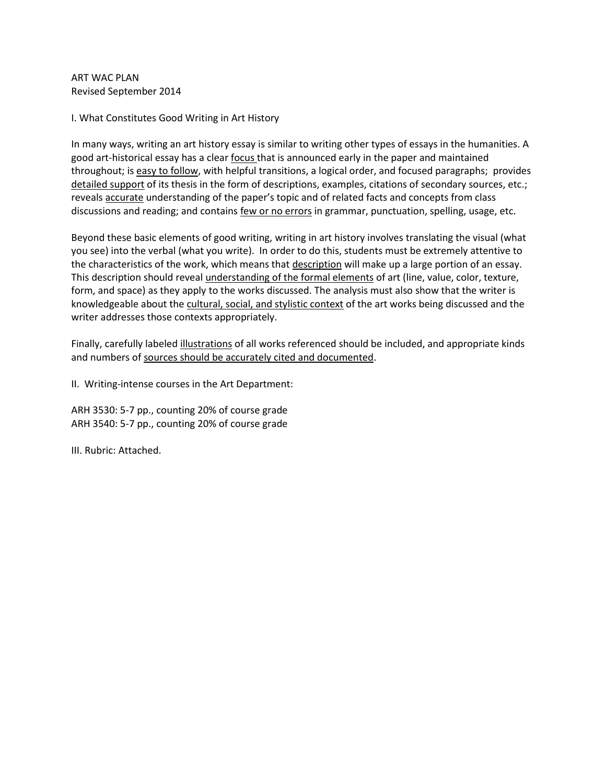ART WAC PLAN Revised September 2014

I. What Constitutes Good Writing in Art History

In many ways, writing an art history essay is similar to writing other types of essays in the humanities. A good art-historical essay has a clear focus that is announced early in the paper and maintained throughout; is easy to follow, with helpful transitions, a logical order, and focused paragraphs; provides detailed support of its thesis in the form of descriptions, examples, citations of secondary sources, etc.; reveals accurate understanding of the paper's topic and of related facts and concepts from class discussions and reading; and contains few or no errors in grammar, punctuation, spelling, usage, etc.

Beyond these basic elements of good writing, writing in art history involves translating the visual (what you see) into the verbal (what you write). In order to do this, students must be extremely attentive to the characteristics of the work, which means that description will make up a large portion of an essay. This description should reveal understanding of the formal elements of art (line, value, color, texture, form, and space) as they apply to the works discussed. The analysis must also show that the writer is knowledgeable about the cultural, social, and stylistic context of the art works being discussed and the writer addresses those contexts appropriately.

Finally, carefully labeled illustrations of all works referenced should be included, and appropriate kinds and numbers of sources should be accurately cited and documented.

II. Writing-intense courses in the Art Department:

ARH 3530: 5-7 pp., counting 20% of course grade ARH 3540: 5-7 pp., counting 20% of course grade

III. Rubric: Attached.